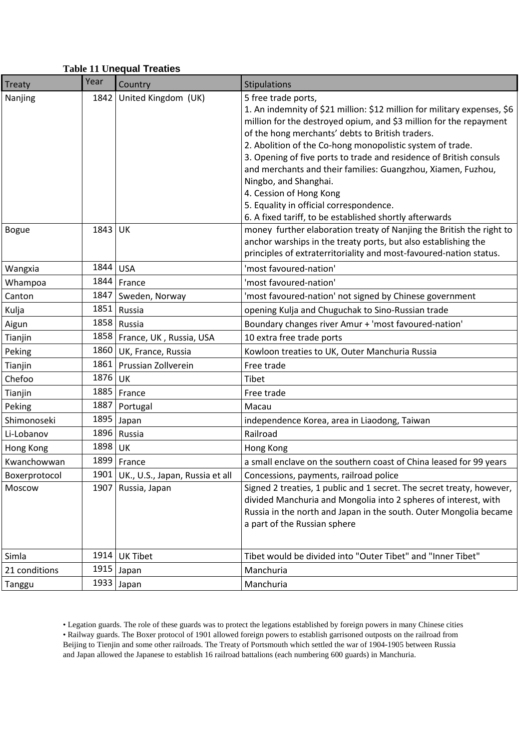## **Table 11 Unequal Treaties**

| <b>Treaty</b>        | Year | Country                         | Stipulations                                                                                                                                                                                                                                                                                                                                                                                                                                                                                                                                                                           |
|----------------------|------|---------------------------------|----------------------------------------------------------------------------------------------------------------------------------------------------------------------------------------------------------------------------------------------------------------------------------------------------------------------------------------------------------------------------------------------------------------------------------------------------------------------------------------------------------------------------------------------------------------------------------------|
| Nanjing              | 1842 | United Kingdom (UK)             | 5 free trade ports,<br>1. An indemnity of \$21 million: \$12 million for military expenses, \$6<br>million for the destroyed opium, and \$3 million for the repayment<br>of the hong merchants' debts to British traders.<br>2. Abolition of the Co-hong monopolistic system of trade.<br>3. Opening of five ports to trade and residence of British consuls<br>and merchants and their families: Guangzhou, Xiamen, Fuzhou,<br>Ningbo, and Shanghai.<br>4. Cession of Hong Kong<br>5. Equality in official correspondence.<br>6. A fixed tariff, to be established shortly afterwards |
| <b>Bogue</b>         | 1843 | UK                              | money further elaboration treaty of Nanjing the British the right to<br>anchor warships in the treaty ports, but also establishing the<br>principles of extraterritoriality and most-favoured-nation status.                                                                                                                                                                                                                                                                                                                                                                           |
| Wangxia              | 1844 | <b>USA</b>                      | 'most favoured-nation'                                                                                                                                                                                                                                                                                                                                                                                                                                                                                                                                                                 |
| Whampoa              | 1844 | France                          | 'most favoured-nation'                                                                                                                                                                                                                                                                                                                                                                                                                                                                                                                                                                 |
| Canton               | 1847 | Sweden, Norway                  | 'most favoured-nation' not signed by Chinese government                                                                                                                                                                                                                                                                                                                                                                                                                                                                                                                                |
| Kulja                | 1851 | Russia                          | opening Kulja and Chuguchak to Sino-Russian trade                                                                                                                                                                                                                                                                                                                                                                                                                                                                                                                                      |
| Aigun                | 1858 | Russia                          | Boundary changes river Amur + 'most favoured-nation'                                                                                                                                                                                                                                                                                                                                                                                                                                                                                                                                   |
| Tianjin              | 1858 | France, UK, Russia, USA         | 10 extra free trade ports                                                                                                                                                                                                                                                                                                                                                                                                                                                                                                                                                              |
| Peking               | 1860 | UK, France, Russia              | Kowloon treaties to UK, Outer Manchuria Russia                                                                                                                                                                                                                                                                                                                                                                                                                                                                                                                                         |
| Tianjin              | 1861 | Prussian Zollverein             | Free trade                                                                                                                                                                                                                                                                                                                                                                                                                                                                                                                                                                             |
| Chefoo               | 1876 | <b>UK</b>                       | Tibet                                                                                                                                                                                                                                                                                                                                                                                                                                                                                                                                                                                  |
| Tianjin              | 1885 | France                          | Free trade                                                                                                                                                                                                                                                                                                                                                                                                                                                                                                                                                                             |
| Peking               | 1887 | Portugal                        | Macau                                                                                                                                                                                                                                                                                                                                                                                                                                                                                                                                                                                  |
| Shimonoseki          | 1895 | Japan                           | independence Korea, area in Liaodong, Taiwan                                                                                                                                                                                                                                                                                                                                                                                                                                                                                                                                           |
| Li-Lobanov           | 1896 | Russia                          | Railroad                                                                                                                                                                                                                                                                                                                                                                                                                                                                                                                                                                               |
| Hong Kong            | 1898 | UK                              | Hong Kong                                                                                                                                                                                                                                                                                                                                                                                                                                                                                                                                                                              |
| Kwanchowwan          |      | 1899   France                   | a small enclave on the southern coast of China leased for 99 years                                                                                                                                                                                                                                                                                                                                                                                                                                                                                                                     |
| <b>Boxerprotocol</b> | 1901 | UK., U.S., Japan, Russia et all | Concessions, payments, railroad police                                                                                                                                                                                                                                                                                                                                                                                                                                                                                                                                                 |
| Moscow               | 1907 | Russia, Japan                   | Signed 2 treaties, 1 public and 1 secret. The secret treaty, however,<br>divided Manchuria and Mongolia into 2 spheres of interest, with<br>Russia in the north and Japan in the south. Outer Mongolia became<br>a part of the Russian sphere                                                                                                                                                                                                                                                                                                                                          |
| Simla                | 1914 | <b>UK Tibet</b>                 | Tibet would be divided into "Outer Tibet" and "Inner Tibet"                                                                                                                                                                                                                                                                                                                                                                                                                                                                                                                            |
| 21 conditions        | 1915 | Japan                           | Manchuria                                                                                                                                                                                                                                                                                                                                                                                                                                                                                                                                                                              |
| Tanggu               |      | 1933 Japan                      | Manchuria                                                                                                                                                                                                                                                                                                                                                                                                                                                                                                                                                                              |

• Legation guards. The role of these guards was to protect the legations established by foreign powers in many Chinese cities • Railway guards. The Boxer protocol of 1901 allowed foreign powers to establish garrisoned outposts on the railroad from Beijing to Tienjin and some other railroads. The Treaty of Portsmouth which settled the war of 1904-1905 between Russia and Japan allowed the Japanese to establish 16 railroad battalions (each numbering 600 guards) in Manchuria.